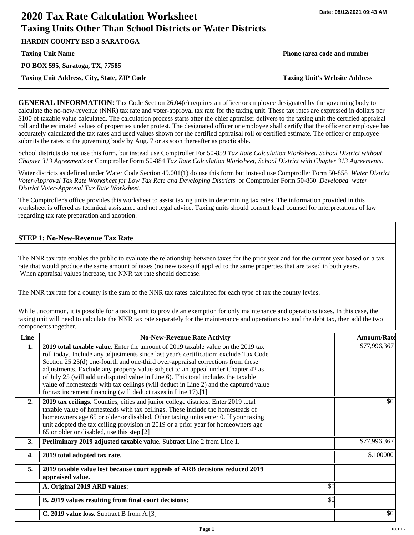# **2020 Tax Rate Calculation Worksheet Taxing Units Other Than School Districts or Water Districts**

**HARDIN COUNTY ESD 3 SARATOGA**

**PO BOX 595, Saratoga, TX, 77585**

**Taxing Unit Address, City, State, ZIP Code Taxing Unit's Website Address**

**Taxing Unit Name Phone (area code and number**

**GENERAL INFORMATION:** Tax Code Section 26.04(c) requires an officer or employee designated by the governing body to calculate the no-new-revenue (NNR) tax rate and voter-approval tax rate for the taxing unit. These tax rates are expressed in dollars per \$100 of taxable value calculated. The calculation process starts after the chief appraiser delivers to the taxing unit the certified appraisal roll and the estimated values of properties under protest. The designated officer or employee shall certify that the officer or employee has accurately calculated the tax rates and used values shown for the certified appraisal roll or certified estimate. The officer or employee submits the rates to the governing body by Aug. 7 or as soon thereafter as practicable.

School districts do not use this form, but instead use Comptroller For 50-859 *Tax Rate Calculation Worksheet, School District without Chapter 313 Agreements* or Comptroller Form 50-884 *Tax Rate Calculation Worksheet, School District with Chapter 313 Agreements.*

Water districts as defined under Water Code Section 49.001(1) do use this form but instead use Comptroller Form 50-858 *Water District Voter-Approval Tax Rate Worksheet for Low Tax Rate and Developing Districts* or Comptroller Form 50-860 *Developed water District Voter-Approval Tax Rate Worksheet.*

The Comptroller's office provides this worksheet to assist taxing units in determining tax rates. The information provided in this worksheet is offered as technical assistance and not legal advice. Taxing units should consult legal counsel for interpretations of law regarding tax rate preparation and adoption.

## **STEP 1: No-New-Revenue Tax Rate**

The NNR tax rate enables the public to evaluate the relationship between taxes for the prior year and for the current year based on a tax rate that would produce the same amount of taxes (no new taxes) if applied to the same properties that are taxed in both years. When appraisal values increase, the NNR tax rate should decrease.

The NNR tax rate for a county is the sum of the NNR tax rates calculated for each type of tax the county levies.

While uncommon, it is possible for a taxing unit to provide an exemption for only maintenance and operations taxes. In this case, the taxing unit will need to calculate the NNR tax rate separately for the maintenance and operations tax and the debt tax, then add the two components together.

| Line             | <b>No-New-Revenue Rate Activity</b>                                                                                                                                                                                                                                                                                                                                                                                                                                                                                                                                                                    |     | <b>Amount/Rate</b> |
|------------------|--------------------------------------------------------------------------------------------------------------------------------------------------------------------------------------------------------------------------------------------------------------------------------------------------------------------------------------------------------------------------------------------------------------------------------------------------------------------------------------------------------------------------------------------------------------------------------------------------------|-----|--------------------|
| 1.               | <b>2019 total taxable value.</b> Enter the amount of 2019 taxable value on the 2019 tax<br>roll today. Include any adjustments since last year's certification; exclude Tax Code<br>Section 25.25(d) one-fourth and one-third over-appraisal corrections from these<br>adjustments. Exclude any property value subject to an appeal under Chapter 42 as<br>of July 25 (will add undisputed value in Line 6). This total includes the taxable<br>value of homesteads with tax ceilings (will deduct in Line 2) and the captured value<br>for tax increment financing (will deduct taxes in Line 17).[1] |     | \$77,996,367       |
| 2.               | 2019 tax ceilings. Counties, cities and junior college districts. Enter 2019 total<br>taxable value of homesteads with tax ceilings. These include the homesteads of<br>homeowners age 65 or older or disabled. Other taxing units enter 0. If your taxing<br>unit adopted the tax ceiling provision in 2019 or a prior year for homeowners age<br>65 or older or disabled, use this step.[2]                                                                                                                                                                                                          |     | \$0                |
| 3.               | Preliminary 2019 adjusted taxable value. Subtract Line 2 from Line 1.                                                                                                                                                                                                                                                                                                                                                                                                                                                                                                                                  |     | \$77,996,367       |
| $\overline{4}$ . | 2019 total adopted tax rate.                                                                                                                                                                                                                                                                                                                                                                                                                                                                                                                                                                           |     | \$.100000          |
| 5.               | 2019 taxable value lost because court appeals of ARB decisions reduced 2019<br>appraised value.                                                                                                                                                                                                                                                                                                                                                                                                                                                                                                        |     |                    |
|                  | A. Original 2019 ARB values:                                                                                                                                                                                                                                                                                                                                                                                                                                                                                                                                                                           | \$0 |                    |
|                  | B. 2019 values resulting from final court decisions:                                                                                                                                                                                                                                                                                                                                                                                                                                                                                                                                                   | \$0 |                    |
|                  | C. 2019 value loss. Subtract B from A.[3]                                                                                                                                                                                                                                                                                                                                                                                                                                                                                                                                                              |     | \$0                |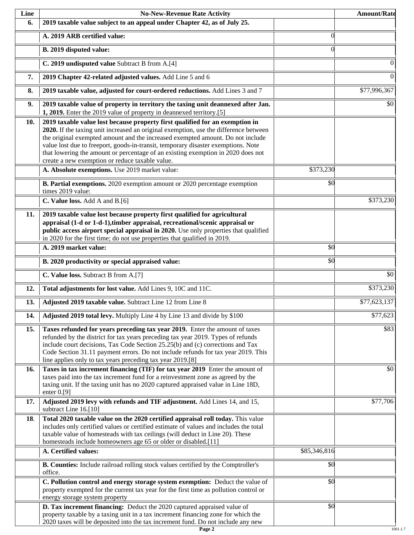| Line | <b>No-New-Revenue Rate Activity</b>                                                                                                                                                                                                                                                                                                                                                                                                                                                |              | <b>Amount/Rate</b> |
|------|------------------------------------------------------------------------------------------------------------------------------------------------------------------------------------------------------------------------------------------------------------------------------------------------------------------------------------------------------------------------------------------------------------------------------------------------------------------------------------|--------------|--------------------|
| 6.   | 2019 taxable value subject to an appeal under Chapter 42, as of July 25.                                                                                                                                                                                                                                                                                                                                                                                                           |              |                    |
|      | A. 2019 ARB certified value:                                                                                                                                                                                                                                                                                                                                                                                                                                                       | $\theta$     |                    |
|      | B. 2019 disputed value:                                                                                                                                                                                                                                                                                                                                                                                                                                                            | $\Omega$     |                    |
|      | C. 2019 undisputed value Subtract B from A.[4]                                                                                                                                                                                                                                                                                                                                                                                                                                     |              | $\Omega$           |
| 7.   | 2019 Chapter 42-related adjusted values. Add Line 5 and 6                                                                                                                                                                                                                                                                                                                                                                                                                          |              | $\boldsymbol{0}$   |
| 8.   | 2019 taxable value, adjusted for court-ordered reductions. Add Lines 3 and 7                                                                                                                                                                                                                                                                                                                                                                                                       |              | \$77,996,367       |
| 9.   | 2019 taxable value of property in territory the taxing unit deannexed after Jan.<br>1, 2019. Enter the 2019 value of property in deannexed territory.[5]                                                                                                                                                                                                                                                                                                                           |              | \$0                |
| 10.  | 2019 taxable value lost because property first qualified for an exemption in<br>2020. If the taxing unit increased an original exemption, use the difference between<br>the original exempted amount and the increased exempted amount. Do not include<br>value lost due to freeport, goods-in-transit, temporary disaster exemptions. Note<br>that lowering the amount or percentage of an existing exemption in 2020 does not<br>create a new exemption or reduce taxable value. |              |                    |
|      | A. Absolute exemptions. Use 2019 market value:                                                                                                                                                                                                                                                                                                                                                                                                                                     | \$373,230    |                    |
|      | B. Partial exemptions. 2020 exemption amount or 2020 percentage exemption<br>times 2019 value:                                                                                                                                                                                                                                                                                                                                                                                     | \$0          |                    |
|      | C. Value loss. Add A and B.[6]                                                                                                                                                                                                                                                                                                                                                                                                                                                     |              | \$373,230          |
| 11.  | 2019 taxable value lost because property first qualified for agricultural<br>appraisal (1-d or 1-d-1), timber appraisal, recreational/scenic appraisal or<br>public access airport special appraisal in 2020. Use only properties that qualified<br>in 2020 for the first time; do not use properties that qualified in 2019.                                                                                                                                                      |              |                    |
|      | A. 2019 market value:                                                                                                                                                                                                                                                                                                                                                                                                                                                              | \$0          |                    |
|      | B. 2020 productivity or special appraised value:                                                                                                                                                                                                                                                                                                                                                                                                                                   | \$0          |                    |
|      | C. Value loss. Subtract B from A.[7]                                                                                                                                                                                                                                                                                                                                                                                                                                               |              | $\overline{50}$    |
| 12.  | Total adjustments for lost value. Add Lines 9, 10C and 11C.                                                                                                                                                                                                                                                                                                                                                                                                                        |              | \$373,230          |
| 13.  | Adjusted 2019 taxable value. Subtract Line 12 from Line 8                                                                                                                                                                                                                                                                                                                                                                                                                          |              | \$77,623,137       |
| 14.  | Adjusted 2019 total levy. Multiply Line 4 by Line 13 and divide by \$100                                                                                                                                                                                                                                                                                                                                                                                                           |              | \$77,623           |
| 15.  | Taxes refunded for years preceding tax year 2019. Enter the amount of taxes<br>refunded by the district for tax years preceding tax year 2019. Types of refunds<br>include court decisions, Tax Code Section 25.25(b) and (c) corrections and Tax<br>Code Section 31.11 payment errors. Do not include refunds for tax year 2019. This<br>line applies only to tax years preceding tax year 2019.[8]                                                                               |              | \$83               |
| 16.  | Taxes in tax increment financing (TIF) for tax year 2019 Enter the amount of<br>taxes paid into the tax increment fund for a reinvestment zone as agreed by the<br>taxing unit. If the taxing unit has no 2020 captured appraised value in Line 18D,<br>enter $0.9$ ]                                                                                                                                                                                                              |              | \$0                |
| 17.  | Adjusted 2019 levy with refunds and TIF adjustment. Add Lines 14, and 15,<br>subtract Line 16.[10]                                                                                                                                                                                                                                                                                                                                                                                 |              | \$77,706           |
| 18.  | Total 2020 taxable value on the 2020 certified appraisal roll today. This value<br>includes only certified values or certified estimate of values and includes the total<br>taxable value of homesteads with tax ceilings (will deduct in Line 20). These<br>homesteads include homeowners age 65 or older or disabled.[11]                                                                                                                                                        |              |                    |
|      | A. Certified values:                                                                                                                                                                                                                                                                                                                                                                                                                                                               | \$85,346,816 |                    |
|      | B. Counties: Include railroad rolling stock values certified by the Comptroller's<br>office.                                                                                                                                                                                                                                                                                                                                                                                       | \$0          |                    |
|      | C. Pollution control and energy storage system exemption: Deduct the value of<br>property exempted for the current tax year for the first time as pollution control or<br>energy storage system property                                                                                                                                                                                                                                                                           | \$0          |                    |
|      | D. Tax increment financing: Deduct the 2020 captured appraised value of<br>property taxable by a taxing unit in a tax increment financing zone for which the<br>2020 taxes will be deposited into the tax increment fund. Do not include any new                                                                                                                                                                                                                                   | \$0          |                    |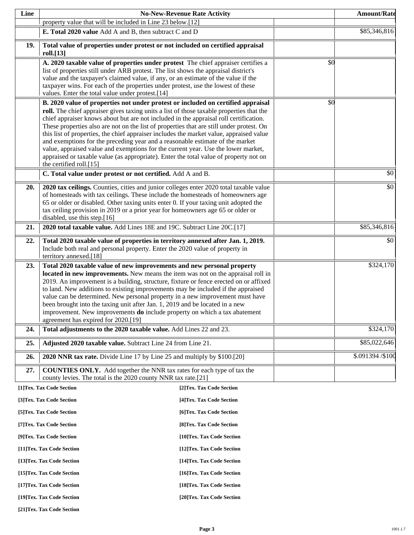| Line                                                     |                                                                                                                                                                                                                                                                                                                                                                                                                                                                                                                                                                                                                                                                                                                                                                                                                       | <b>No-New-Revenue Rate Activity</b> |     | <b>Amount/Rate</b> |
|----------------------------------------------------------|-----------------------------------------------------------------------------------------------------------------------------------------------------------------------------------------------------------------------------------------------------------------------------------------------------------------------------------------------------------------------------------------------------------------------------------------------------------------------------------------------------------------------------------------------------------------------------------------------------------------------------------------------------------------------------------------------------------------------------------------------------------------------------------------------------------------------|-------------------------------------|-----|--------------------|
|                                                          | property value that will be included in Line 23 below.[12]                                                                                                                                                                                                                                                                                                                                                                                                                                                                                                                                                                                                                                                                                                                                                            |                                     |     |                    |
|                                                          | E. Total 2020 value Add A and B, then subtract C and D                                                                                                                                                                                                                                                                                                                                                                                                                                                                                                                                                                                                                                                                                                                                                                |                                     |     | \$85,346,816       |
| 19.                                                      | Total value of properties under protest or not included on certified appraisal<br>roll.[13]                                                                                                                                                                                                                                                                                                                                                                                                                                                                                                                                                                                                                                                                                                                           |                                     |     |                    |
|                                                          | A. 2020 taxable value of properties under protest The chief appraiser certifies a<br>list of properties still under ARB protest. The list shows the appraisal district's<br>value and the taxpayer's claimed value, if any, or an estimate of the value if the<br>taxpayer wins. For each of the properties under protest, use the lowest of these                                                                                                                                                                                                                                                                                                                                                                                                                                                                    |                                     | \$0 |                    |
|                                                          | values. Enter the total value under protest.[14]                                                                                                                                                                                                                                                                                                                                                                                                                                                                                                                                                                                                                                                                                                                                                                      |                                     |     |                    |
|                                                          | B. 2020 value of properties not under protest or included on certified appraisal<br>roll. The chief appraiser gives taxing units a list of those taxable properties that the<br>chief appraiser knows about but are not included in the appraisal roll certification.<br>These properties also are not on the list of properties that are still under protest. On<br>this list of properties, the chief appraiser includes the market value, appraised value<br>and exemptions for the preceding year and a reasonable estimate of the market<br>value, appraised value and exemptions for the current year. Use the lower market,<br>appraised or taxable value (as appropriate). Enter the total value of property not on<br>the certified roll.[15]<br>C. Total value under protest or not certified. Add A and B. |                                     | \$0 | \$0                |
|                                                          |                                                                                                                                                                                                                                                                                                                                                                                                                                                                                                                                                                                                                                                                                                                                                                                                                       |                                     |     |                    |
| 20.                                                      | 2020 tax ceilings. Counties, cities and junior colleges enter 2020 total taxable value<br>of homesteads with tax ceilings. These include the homesteads of homeowners age<br>65 or older or disabled. Other taxing units enter 0. If your taxing unit adopted the<br>tax ceiling provision in 2019 or a prior year for homeowners age 65 or older or<br>disabled, use this step.[16]                                                                                                                                                                                                                                                                                                                                                                                                                                  |                                     |     | \$0                |
| 21.                                                      | 2020 total taxable value. Add Lines 18E and 19C. Subtract Line 20C.[17]                                                                                                                                                                                                                                                                                                                                                                                                                                                                                                                                                                                                                                                                                                                                               |                                     |     | \$85,346,816       |
| 22.                                                      | Total 2020 taxable value of properties in territory annexed after Jan. 1, 2019.<br>Include both real and personal property. Enter the 2020 value of property in<br>territory annexed.[18]                                                                                                                                                                                                                                                                                                                                                                                                                                                                                                                                                                                                                             |                                     |     | \$0                |
| 23.                                                      | Total 2020 taxable value of new improvements and new personal property<br>located in new improvements. New means the item was not on the appraisal roll in<br>2019. An improvement is a building, structure, fixture or fence erected on or affixed<br>to land. New additions to existing improvements may be included if the appraised<br>value can be determined. New personal property in a new improvement must have<br>been brought into the taxing unit after Jan. 1, 2019 and be located in a new<br>improvement. New improvements do include property on which a tax abatement<br>agreement has expired for 2020.[19]                                                                                                                                                                                         |                                     |     | \$324,170          |
| 24.                                                      | Total adjustments to the 2020 taxable value. Add Lines 22 and 23.                                                                                                                                                                                                                                                                                                                                                                                                                                                                                                                                                                                                                                                                                                                                                     |                                     |     | \$324,170          |
| 25.                                                      | Adjusted 2020 taxable value. Subtract Line 24 from Line 21.                                                                                                                                                                                                                                                                                                                                                                                                                                                                                                                                                                                                                                                                                                                                                           |                                     |     | \$85,022,646       |
| 26.                                                      | 2020 NNR tax rate. Divide Line 17 by Line 25 and multiply by \$100.[20]                                                                                                                                                                                                                                                                                                                                                                                                                                                                                                                                                                                                                                                                                                                                               |                                     |     | \$.091394 /\$100   |
| 27.                                                      | <b>COUNTIES ONLY.</b> Add together the NNR tax rates for each type of tax the<br>county levies. The total is the 2020 county NNR tax rate.[21]                                                                                                                                                                                                                                                                                                                                                                                                                                                                                                                                                                                                                                                                        |                                     |     |                    |
|                                                          | [1]Tex. Tax Code Section                                                                                                                                                                                                                                                                                                                                                                                                                                                                                                                                                                                                                                                                                                                                                                                              | [2] Tex. Tax Code Section           |     |                    |
|                                                          | [3]Tex. Tax Code Section                                                                                                                                                                                                                                                                                                                                                                                                                                                                                                                                                                                                                                                                                                                                                                                              | [4] Tex. Tax Code Section           |     |                    |
|                                                          | [5] Tex. Tax Code Section                                                                                                                                                                                                                                                                                                                                                                                                                                                                                                                                                                                                                                                                                                                                                                                             | [6] Tex. Tax Code Section           |     |                    |
| [7] Tex. Tax Code Section<br>[8] Tex. Tax Code Section   |                                                                                                                                                                                                                                                                                                                                                                                                                                                                                                                                                                                                                                                                                                                                                                                                                       |                                     |     |                    |
| [9]Tex. Tax Code Section<br>[10]Tex. Tax Code Section    |                                                                                                                                                                                                                                                                                                                                                                                                                                                                                                                                                                                                                                                                                                                                                                                                                       |                                     |     |                    |
| [11] Tex. Tax Code Section<br>[12] Tex. Tax Code Section |                                                                                                                                                                                                                                                                                                                                                                                                                                                                                                                                                                                                                                                                                                                                                                                                                       |                                     |     |                    |
| [13] Tex. Tax Code Section<br>[14] Tex. Tax Code Section |                                                                                                                                                                                                                                                                                                                                                                                                                                                                                                                                                                                                                                                                                                                                                                                                                       |                                     |     |                    |
| [15] Tex. Tax Code Section<br>[16] Tex. Tax Code Section |                                                                                                                                                                                                                                                                                                                                                                                                                                                                                                                                                                                                                                                                                                                                                                                                                       |                                     |     |                    |
| [17] Tex. Tax Code Section<br>[18] Tex. Tax Code Section |                                                                                                                                                                                                                                                                                                                                                                                                                                                                                                                                                                                                                                                                                                                                                                                                                       |                                     |     |                    |
| [19]Tex. Tax Code Section<br>[20]Tex. Tax Code Section   |                                                                                                                                                                                                                                                                                                                                                                                                                                                                                                                                                                                                                                                                                                                                                                                                                       |                                     |     |                    |

**[21]Tex. Tax Code Section**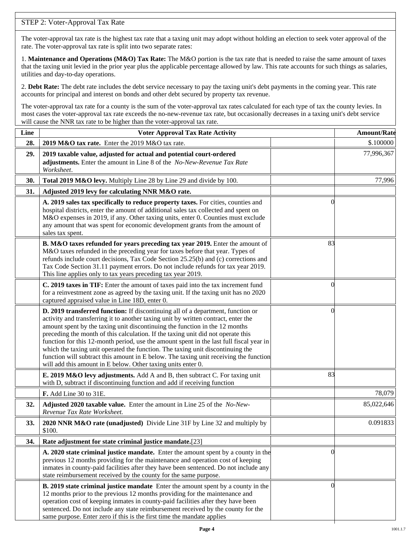### STEP 2: Voter-Approval Tax Rate

The voter-approval tax rate is the highest tax rate that a taxing unit may adopt without holding an election to seek voter approval of the rate. The voter-approval tax rate is split into two separate rates:

1. **Maintenance and Operations (M&O) Tax Rate:** The M&O portion is the tax rate that is needed to raise the same amount of taxes that the taxing unit levied in the prior year plus the applicable percentage allowed by law. This rate accounts for such things as salaries, utilities and day-to-day operations.

2. **Debt Rate:** The debt rate includes the debt service necessary to pay the taxing unit's debt payments in the coming year. This rate accounts for principal and interest on bonds and other debt secured by property tax revenue.

The voter-approval tax rate for a county is the sum of the voter-approval tax rates calculated for each type of tax the county levies. In most cases the voter-approval tax rate exceeds the no-new-revenue tax rate, but occasionally decreases in a taxing unit's debt service will cause the NNR tax rate to be higher than the voter-approval tax rate.

| Line | <b>Voter Approval Tax Rate Activity</b>                                                                                                                                                                                                                                                                                                                                                                                                                                                                                                                                                                                                                                        |                | <b>Amount/Rate</b> |
|------|--------------------------------------------------------------------------------------------------------------------------------------------------------------------------------------------------------------------------------------------------------------------------------------------------------------------------------------------------------------------------------------------------------------------------------------------------------------------------------------------------------------------------------------------------------------------------------------------------------------------------------------------------------------------------------|----------------|--------------------|
| 28.  | 2019 M&O tax rate. Enter the 2019 M&O tax rate.                                                                                                                                                                                                                                                                                                                                                                                                                                                                                                                                                                                                                                |                | \$.100000          |
| 29.  | 2019 taxable value, adjusted for actual and potential court-ordered<br>adjustments. Enter the amount in Line 8 of the No-New-Revenue Tax Rate<br>Worksheet.                                                                                                                                                                                                                                                                                                                                                                                                                                                                                                                    |                | 77,996,367         |
| 30.  | Total 2019 M&O levy. Multiply Line 28 by Line 29 and divide by 100.                                                                                                                                                                                                                                                                                                                                                                                                                                                                                                                                                                                                            |                | 77,996             |
| 31.  | Adjusted 2019 levy for calculating NNR M&O rate.                                                                                                                                                                                                                                                                                                                                                                                                                                                                                                                                                                                                                               |                |                    |
|      | A. 2019 sales tax specifically to reduce property taxes. For cities, counties and<br>hospital districts, enter the amount of additional sales tax collected and spent on<br>M&O expenses in 2019, if any. Other taxing units, enter 0. Counties must exclude<br>any amount that was spent for economic development grants from the amount of<br>sales tax spent.                                                                                                                                                                                                                                                                                                               | $\Omega$       |                    |
|      | B. M&O taxes refunded for years preceding tax year 2019. Enter the amount of<br>M&O taxes refunded in the preceding year for taxes before that year. Types of<br>refunds include court decisions, Tax Code Section 25.25(b) and (c) corrections and<br>Tax Code Section 31.11 payment errors. Do not include refunds for tax year 2019.<br>This line applies only to tax years preceding tax year 2019.                                                                                                                                                                                                                                                                        | 83             |                    |
|      | C. 2019 taxes in TIF: Enter the amount of taxes paid into the tax increment fund<br>for a reinvestment zone as agreed by the taxing unit. If the taxing unit has no 2020<br>captured appraised value in Line 18D, enter 0.                                                                                                                                                                                                                                                                                                                                                                                                                                                     | 0              |                    |
|      | D. 2019 transferred function: If discontinuing all of a department, function or<br>activity and transferring it to another taxing unit by written contract, enter the<br>amount spent by the taxing unit discontinuing the function in the 12 months<br>preceding the month of this calculation. If the taxing unit did not operate this<br>function for this 12-month period, use the amount spent in the last full fiscal year in<br>which the taxing unit operated the function. The taxing unit discontinuing the<br>function will subtract this amount in E below. The taxing unit receiving the function<br>will add this amount in E below. Other taxing units enter 0. | $\left($       |                    |
|      | E. 2019 M&O levy adjustments. Add A and B, then subtract C. For taxing unit<br>with D, subtract if discontinuing function and add if receiving function                                                                                                                                                                                                                                                                                                                                                                                                                                                                                                                        | 83             |                    |
|      | F. Add Line 30 to 31E.                                                                                                                                                                                                                                                                                                                                                                                                                                                                                                                                                                                                                                                         |                | 78,079             |
| 32.  | Adjusted 2020 taxable value. Enter the amount in Line 25 of the No-New-<br>Revenue Tax Rate Worksheet.                                                                                                                                                                                                                                                                                                                                                                                                                                                                                                                                                                         |                | 85,022,646         |
| 33.  | 2020 NNR M&O rate (unadjusted) Divide Line 31F by Line 32 and multiply by<br>\$100.                                                                                                                                                                                                                                                                                                                                                                                                                                                                                                                                                                                            |                | 0.091833           |
| 34.  | Rate adjustment for state criminal justice mandate.[23]                                                                                                                                                                                                                                                                                                                                                                                                                                                                                                                                                                                                                        |                |                    |
|      | A. 2020 state criminal justice mandate. Enter the amount spent by a county in the<br>previous 12 months providing for the maintenance and operation cost of keeping<br>inmates in county-paid facilities after they have been sentenced. Do not include any<br>state reimbursement received by the county for the same purpose.                                                                                                                                                                                                                                                                                                                                                | $\Omega$       |                    |
|      | <b>B. 2019 state criminal justice mandate</b> Enter the amount spent by a county in the<br>12 months prior to the previous 12 months providing for the maintenance and<br>operation cost of keeping inmates in county-paid facilities after they have been<br>sentenced. Do not include any state reimbursement received by the county for the<br>same purpose. Enter zero if this is the first time the mandate applies                                                                                                                                                                                                                                                       | $\overline{0}$ |                    |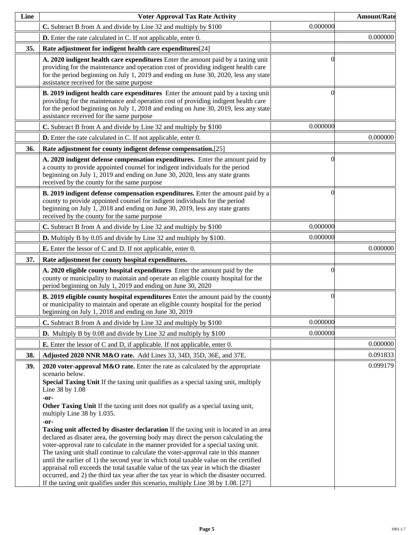| Line | <b>Voter Approval Tax Rate Activity</b>                                                                                                                                                                                                                                                                                                                                                                                                                                                                                                                                                                                                                                                                                                                                                                                                                                                                                                                                                                                                                                      |          | <b>Amount/Rate</b> |
|------|------------------------------------------------------------------------------------------------------------------------------------------------------------------------------------------------------------------------------------------------------------------------------------------------------------------------------------------------------------------------------------------------------------------------------------------------------------------------------------------------------------------------------------------------------------------------------------------------------------------------------------------------------------------------------------------------------------------------------------------------------------------------------------------------------------------------------------------------------------------------------------------------------------------------------------------------------------------------------------------------------------------------------------------------------------------------------|----------|--------------------|
|      | C. Subtract B from A and divide by Line 32 and multiply by \$100                                                                                                                                                                                                                                                                                                                                                                                                                                                                                                                                                                                                                                                                                                                                                                                                                                                                                                                                                                                                             | 0.000000 |                    |
|      | <b>D.</b> Enter the rate calculated in C. If not applicable, enter 0.                                                                                                                                                                                                                                                                                                                                                                                                                                                                                                                                                                                                                                                                                                                                                                                                                                                                                                                                                                                                        |          | 0.000000           |
| 35.  | Rate adjustment for indigent health care expenditures[24]                                                                                                                                                                                                                                                                                                                                                                                                                                                                                                                                                                                                                                                                                                                                                                                                                                                                                                                                                                                                                    |          |                    |
|      | A. 2020 indigent health care expenditures Enter the amount paid by a taxing unit<br>providing for the maintenance and operation cost of providing indigent health care<br>for the period beginning on July 1, 2019 and ending on June 30, 2020, less any state<br>assistance received for the same purpose                                                                                                                                                                                                                                                                                                                                                                                                                                                                                                                                                                                                                                                                                                                                                                   | ſ        |                    |
|      | B. 2019 indigent health care expenditures Enter the amount paid by a taxing unit<br>providing for the maintenance and operation cost of providing indigent health care<br>for the period beginning on July 1, 2018 and ending on June 30, 2019, less any state<br>assistance received for the same purpose                                                                                                                                                                                                                                                                                                                                                                                                                                                                                                                                                                                                                                                                                                                                                                   | 0        |                    |
|      | C. Subtract B from A and divide by Line 32 and multiply by \$100                                                                                                                                                                                                                                                                                                                                                                                                                                                                                                                                                                                                                                                                                                                                                                                                                                                                                                                                                                                                             | 0.000000 |                    |
|      | <b>D.</b> Enter the rate calculated in C. If not applicable, enter 0.                                                                                                                                                                                                                                                                                                                                                                                                                                                                                                                                                                                                                                                                                                                                                                                                                                                                                                                                                                                                        |          | 0.000000           |
| 36.  | Rate adjustment for county indigent defense compensation.[25]                                                                                                                                                                                                                                                                                                                                                                                                                                                                                                                                                                                                                                                                                                                                                                                                                                                                                                                                                                                                                |          |                    |
|      | A. 2020 indigent defense compensation expenditures. Enter the amount paid by<br>a county to provide appointed counsel for indigent individuals for the period<br>beginning on July 1, 2019 and ending on June 30, 2020, less any state grants<br>received by the county for the same purpose                                                                                                                                                                                                                                                                                                                                                                                                                                                                                                                                                                                                                                                                                                                                                                                 | 0        |                    |
|      | B. 2019 indigent defense compensation expenditures. Enter the amount paid by a<br>county to provide appointed counsel for indigent individuals for the period<br>beginning on July 1, 2018 and ending on June 30, 2019, less any state grants<br>received by the county for the same purpose                                                                                                                                                                                                                                                                                                                                                                                                                                                                                                                                                                                                                                                                                                                                                                                 | 0        |                    |
|      | C. Subtract B from A and divide by Line 32 and multiply by \$100                                                                                                                                                                                                                                                                                                                                                                                                                                                                                                                                                                                                                                                                                                                                                                                                                                                                                                                                                                                                             | 0.000000 |                    |
|      | <b>D.</b> Multiply B by 0.05 and divide by Line 32 and multiply by \$100.                                                                                                                                                                                                                                                                                                                                                                                                                                                                                                                                                                                                                                                                                                                                                                                                                                                                                                                                                                                                    | 0.000000 |                    |
|      | <b>E.</b> Enter the lessor of C and D. If not applicable, enter 0.                                                                                                                                                                                                                                                                                                                                                                                                                                                                                                                                                                                                                                                                                                                                                                                                                                                                                                                                                                                                           |          | 0.000000           |
| 37.  | Rate adjustment for county hospital expenditures.                                                                                                                                                                                                                                                                                                                                                                                                                                                                                                                                                                                                                                                                                                                                                                                                                                                                                                                                                                                                                            |          |                    |
|      | A. 2020 eligible county hospital expenditures Enter the amount paid by the<br>county or municipality to maintain and operate an eligible county hospital for the<br>period beginning on July 1, 2019 and ending on June 30, 2020                                                                                                                                                                                                                                                                                                                                                                                                                                                                                                                                                                                                                                                                                                                                                                                                                                             | 0        |                    |
|      | <b>B. 2019 eligible county hospital expenditures</b> Enter the amount paid by the county<br>or municipality to maintain and operate an eligible county hospital for the period<br>beginning on July 1, 2018 and ending on June 30, 2019                                                                                                                                                                                                                                                                                                                                                                                                                                                                                                                                                                                                                                                                                                                                                                                                                                      | $\Omega$ |                    |
|      | C. Subtract B from A and divide by Line 32 and multiply by \$100                                                                                                                                                                                                                                                                                                                                                                                                                                                                                                                                                                                                                                                                                                                                                                                                                                                                                                                                                                                                             | 0.000000 |                    |
|      | <b>D.</b> Multiply B by 0.08 and divide by Line 32 and multiply by \$100                                                                                                                                                                                                                                                                                                                                                                                                                                                                                                                                                                                                                                                                                                                                                                                                                                                                                                                                                                                                     | 0.000000 |                    |
|      | <b>E.</b> Enter the lessor of C and D, if applicable. If not applicable, enter 0.                                                                                                                                                                                                                                                                                                                                                                                                                                                                                                                                                                                                                                                                                                                                                                                                                                                                                                                                                                                            |          | 0.000000           |
| 38.  | Adjusted 2020 NNR M&O rate. Add Lines 33, 34D, 35D, 36E, and 37E.                                                                                                                                                                                                                                                                                                                                                                                                                                                                                                                                                                                                                                                                                                                                                                                                                                                                                                                                                                                                            |          | 0.091833           |
| 39.  | 2020 voter-approval M&O rate. Enter the rate as calculated by the appropriate<br>scenario below.<br>Special Taxing Unit If the taxing unit qualifies as a special taxing unit, multiply<br>Line 38 by 1.08<br>-or-<br>Other Taxing Unit If the taxing unit does not qualify as a special taxing unit,<br>multiply Line 38 by 1.035.<br>-or-<br><b>Taxing unit affected by disaster declaration</b> If the taxing unit is located in an area<br>declared as disater area, the governing body may direct the person calculating the<br>voter-approval rate to calculate in the manner provided for a special taxing unit.<br>The taxing unit shall continue to calculate the voter-approval rate in this manner<br>until the earlier of 1) the second year in which total taxable value on the certified<br>appraisal roll exceeds the total taxable value of the tax year in which the disaster<br>occurred, and 2) the third tax year after the tax year in which the disaster occurred.<br>If the taxing unit qualifies under this scenario, multiply Line 38 by 1.08. [27] |          | 0.099179           |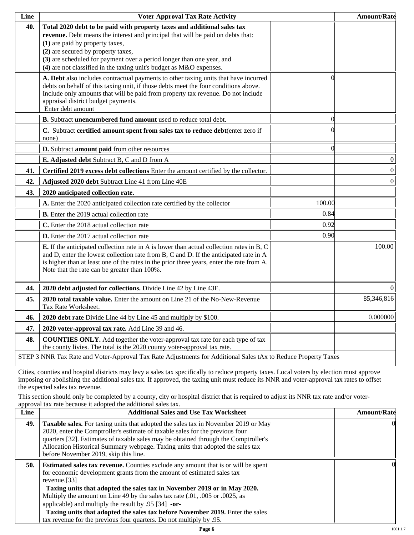| Line | <b>Voter Approval Tax Rate Activity</b>                                                                                                                                                                                                                                                                                                                                             |          | <b>Amount/Rate</b> |
|------|-------------------------------------------------------------------------------------------------------------------------------------------------------------------------------------------------------------------------------------------------------------------------------------------------------------------------------------------------------------------------------------|----------|--------------------|
| 40.  | Total 2020 debt to be paid with property taxes and additional sales tax<br>revenue. Debt means the interest and principal that will be paid on debts that:<br>(1) are paid by property taxes,<br>(2) are secured by property taxes,<br>(3) are scheduled for payment over a period longer than one year, and<br>(4) are not classified in the taxing unit's budget as M&O expenses. |          |                    |
|      | A. Debt also includes contractual payments to other taxing units that have incurred<br>debts on behalf of this taxing unit, if those debts meet the four conditions above.<br>Include only amounts that will be paid from property tax revenue. Do not include<br>appraisal district budget payments.<br>Enter debt amount                                                          | 0        |                    |
|      | B. Subtract unencumbered fund amount used to reduce total debt.                                                                                                                                                                                                                                                                                                                     | $\Omega$ |                    |
|      | C. Subtract certified amount spent from sales tax to reduce debt(enter zero if<br>none)                                                                                                                                                                                                                                                                                             |          |                    |
|      | D. Subtract amount paid from other resources                                                                                                                                                                                                                                                                                                                                        | $\Omega$ |                    |
|      | E. Adjusted debt Subtract B, C and D from A                                                                                                                                                                                                                                                                                                                                         |          | $\boldsymbol{0}$   |
| 41.  | Certified 2019 excess debt collections Enter the amount certified by the collector.                                                                                                                                                                                                                                                                                                 |          | $\boldsymbol{0}$   |
| 42.  | Adjusted 2020 debt Subtract Line 41 from Line 40E                                                                                                                                                                                                                                                                                                                                   |          | $\boldsymbol{0}$   |
| 43.  | 2020 anticipated collection rate.                                                                                                                                                                                                                                                                                                                                                   |          |                    |
|      | A. Enter the 2020 anticipated collection rate certified by the collector                                                                                                                                                                                                                                                                                                            | 100.00   |                    |
|      | <b>B.</b> Enter the 2019 actual collection rate                                                                                                                                                                                                                                                                                                                                     | 0.84     |                    |
|      | C. Enter the 2018 actual collection rate                                                                                                                                                                                                                                                                                                                                            | 0.92     |                    |
|      | D. Enter the 2017 actual collection rate                                                                                                                                                                                                                                                                                                                                            | 0.90     |                    |
|      | <b>E.</b> If the anticipated collection rate in A is lower than actual collection rates in B, C<br>and D, enter the lowest collection rate from B, C and D. If the anticipated rate in A<br>is higher than at least one of the rates in the prior three years, enter the rate from A.<br>Note that the rate can be greater than 100%.                                               |          | 100.00             |
| 44.  | 2020 debt adjusted for collections. Divide Line 42 by Line 43E.                                                                                                                                                                                                                                                                                                                     |          | $\Omega$           |
| 45.  | 2020 total taxable value. Enter the amount on Line 21 of the No-New-Revenue<br>Tax Rate Worksheet.                                                                                                                                                                                                                                                                                  |          | 85,346,816         |
| 46.  | 2020 debt rate Divide Line 44 by Line 45 and multiply by \$100.                                                                                                                                                                                                                                                                                                                     |          | 0.000000           |
| 47.  | 2020 voter-approval tax rate. Add Line 39 and 46.                                                                                                                                                                                                                                                                                                                                   |          |                    |
| 48.  | <b>COUNTIES ONLY.</b> Add together the voter-approval tax rate for each type of tax<br>the county livies. The total is the 2020 county voter-approval tax rate.                                                                                                                                                                                                                     |          |                    |
|      | STEP 3 NNR Tax Rate and Voter-Approval Tax Rate Adjustments for Additional Sales tAx to Reduce Property Taxes                                                                                                                                                                                                                                                                       |          |                    |

Cities, counties and hospital districts may levy a sales tax specifically to reduce property taxes. Local voters by election must approve imposing or abolishing the additional sales tax. If approved, the taxing unit must reduce its NNR and voter-approval tax rates to offset the expected sales tax revenue.

This section should only be completed by a county, city or hospital district that is required to adjust its NNR tax rate and/or voterapproval tax rate because it adopted the additional sales tax.

| <b>Additional Sales and Use Tax Worksheet</b>                                                                                                                                                                                                                                                                                                                                                                                                                                                | <b>Amount/Rate</b>                                                  |
|----------------------------------------------------------------------------------------------------------------------------------------------------------------------------------------------------------------------------------------------------------------------------------------------------------------------------------------------------------------------------------------------------------------------------------------------------------------------------------------------|---------------------------------------------------------------------|
| Taxable sales. For taxing units that adopted the sales tax in November 2019 or May<br>2020, enter the Comptroller's estimate of taxable sales for the previous four<br>quarters [32]. Estimates of taxable sales may be obtained through the Comptroller's<br>Allocation Historical Summary webpage. Taxing units that adopted the sales tax<br>before November 2019, skip this line.                                                                                                        | $\Omega$                                                            |
| <b>Estimated sales tax revenue.</b> Counties exclude any amount that is or will be spent<br>for economic development grants from the amount of estimated sales tax<br>revenue. $[33]$<br>Taxing units that adopted the sales tax in November 2019 or in May 2020.<br>Multiply the amount on Line 49 by the sales tax rate (.01, .005 or .0025, as<br>applicable) and multiply the result by $.95$ [34] -or-<br>Taxing units that adopted the sales tax before November 2019. Enter the sales | OI.                                                                 |
|                                                                                                                                                                                                                                                                                                                                                                                                                                                                                              | tax revenue for the previous four quarters. Do not multiply by .95. |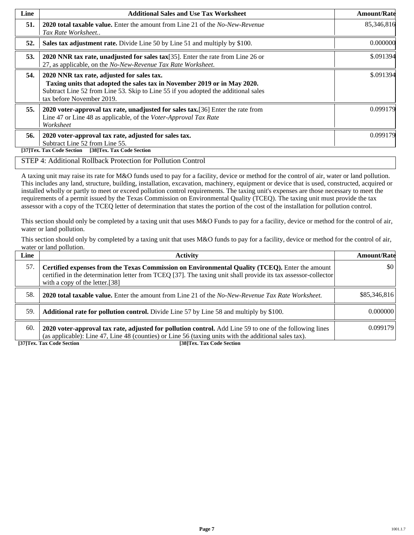| Line | <b>Additional Sales and Use Tax Worksheet</b>                                                                                                                                                                                             | <b>Amount/Rate</b> |
|------|-------------------------------------------------------------------------------------------------------------------------------------------------------------------------------------------------------------------------------------------|--------------------|
| 51.  | <b>2020 total taxable value.</b> Enter the amount from Line 21 of the <i>No-New-Revenue</i><br>Tax Rate Worksheet                                                                                                                         | 85,346,816         |
| 52.  | Sales tax adjustment rate. Divide Line 50 by Line 51 and multiply by \$100.                                                                                                                                                               | 0.000000           |
| 53.  | 2020 NNR tax rate, unadjusted for sales tax $[35]$ . Enter the rate from Line 26 or<br>27, as applicable, on the No-New-Revenue Tax Rate Worksheet.                                                                                       | \$.091394          |
| 54.  | 2020 NNR tax rate, adjusted for sales tax.<br>Taxing units that adopted the sales tax in November 2019 or in May 2020.<br>Subtract Line 52 from Line 53. Skip to Line 55 if you adopted the additional sales<br>tax before November 2019. | \$.091394          |
| 55.  | 2020 voter-approval tax rate, unadjusted for sales tax. [36] Enter the rate from<br>Line 47 or Line 48 as applicable, of the Voter-Approval Tax Rate<br>Worksheet                                                                         | 0.099179           |
| 56.  | 2020 voter-approval tax rate, adjusted for sales tax.<br>Subtract Line 52 from Line 55.<br>[38]Tex. Tax Code Section<br>[37]Tex. Tax Code Section                                                                                         | 0.099179           |

#### STEP 4: Additional Rollback Protection for Pollution Control

A taxing unit may raise its rate for M&O funds used to pay for a facility, device or method for the control of air, water or land pollution. This includes any land, structure, building, installation, excavation, machinery, equipment or device that is used, constructed, acquired or installed wholly or partly to meet or exceed pollution control requirements. The taxing unit's expenses are those necessary to meet the requirements of a permit issued by the Texas Commission on Environmental Quality (TCEQ). The taxing unit must provide the tax assessor with a copy of the TCEQ letter of determination that states the portion of the cost of the installation for pollution control.

This section should only be completed by a taxing unit that uses M&O Funds to pay for a facility, device or method for the control of air, water or land pollution.

This section should only by completed by a taxing unit that uses M&O funds to pay for a facility, device or method for the control of air, water or land pollution.

| Line | <b>Activity</b>                                                                                                                                                                                                                                    | <b>Amount/Rate</b>      |
|------|----------------------------------------------------------------------------------------------------------------------------------------------------------------------------------------------------------------------------------------------------|-------------------------|
| 57.  | Certified expenses from the Texas Commission on Environmental Quality (TCEQ). Enter the amount<br>certified in the determination letter from TCEQ [37]. The taxing unit shall provide its tax assessor-collector<br>with a copy of the letter.[38] | $\vert \$\text{0}\vert$ |
| 58.  | <b>2020 total taxable value.</b> Enter the amount from Line 21 of the No-New-Revenue Tax Rate Worksheet.                                                                                                                                           | \$85,346,816            |
| 59.  | <b>Additional rate for pollution control.</b> Divide Line 57 by Line 58 and multiply by \$100.                                                                                                                                                     | 0.000000                |
| 60.  | 2020 voter-approval tax rate, adjusted for pollution control. Add Line 59 to one of the following lines<br>(as applicable): Line 47, Line 48 (counties) or Line 56 (taxing units with the additional sales tax).                                   | 0.099179                |

**[37]Tex. Tax Code Section [38]Tex. Tax Code Section**